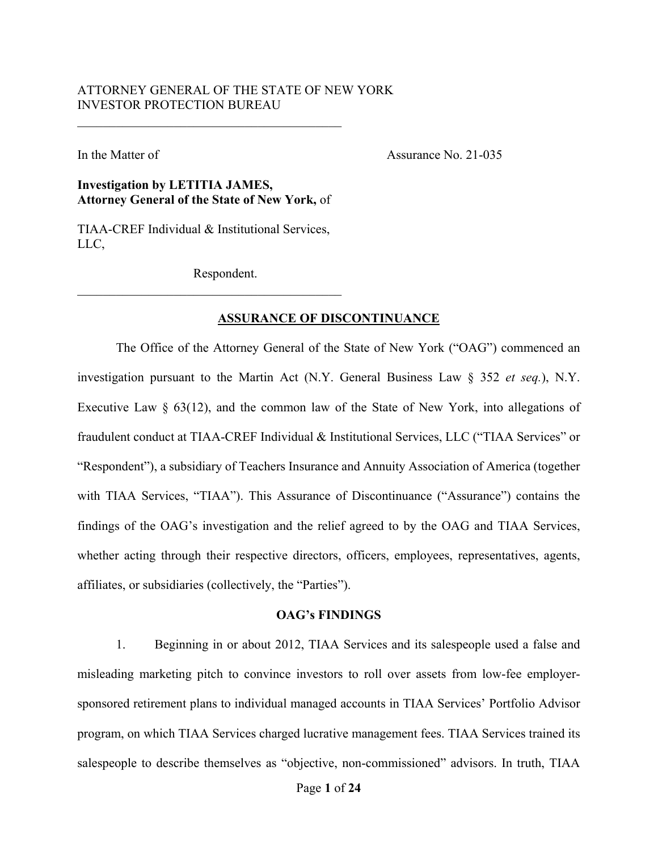# ATTORNEY GENERAL OF THE STATE OF NEW YORK INVESTOR PROTECTION BUREAU

In the Matter of Assurance No. 21-035

## **Investigation by LETITIA JAMES, Attorney General of the State of New York,** of

TIAA-CREF Individual & Institutional Services, LLC,

Respondent.

### **ASSURANCE OF DISCONTINUANCE**

The Office of the Attorney General of the State of New York ("OAG") commenced an investigation pursuant to the Martin Act (N.Y. General Business Law § 352 *et seq.*), N.Y. Executive Law § 63(12), and the common law of the State of New York, into allegations of fraudulent conduct at TIAA-CREF Individual & Institutional Services, LLC ("TIAA Services" or "Respondent"), a subsidiary of Teachers Insurance and Annuity Association of America (together with TIAA Services, "TIAA"). This Assurance of Discontinuance ("Assurance") contains the findings of the OAG's investigation and the relief agreed to by the OAG and TIAA Services, whether acting through their respective directors, officers, employees, representatives, agents, affiliates, or subsidiaries (collectively, the "Parties").

## **OAG's FINDINGS**

1. Beginning in or about 2012, TIAA Services and its salespeople used a false and misleading marketing pitch to convince investors to roll over assets from low-fee employersponsored retirement plans to individual managed accounts in TIAA Services' Portfolio Advisor program, on which TIAA Services charged lucrative management fees. TIAA Services trained its salespeople to describe themselves as "objective, non-commissioned" advisors. In truth, TIAA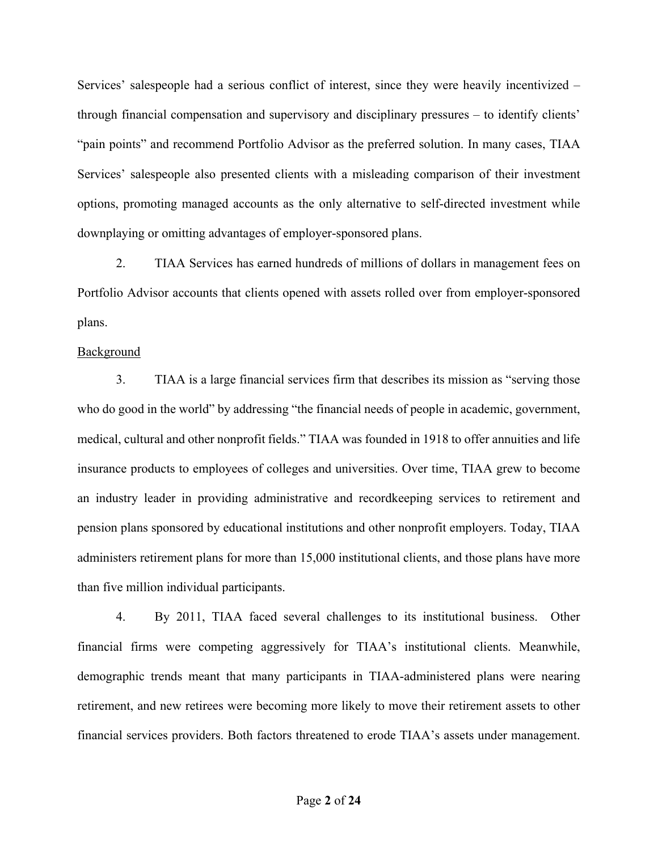Services' salespeople had a serious conflict of interest, since they were heavily incentivized – through financial compensation and supervisory and disciplinary pressures – to identify clients' "pain points" and recommend Portfolio Advisor as the preferred solution. In many cases, TIAA Services' salespeople also presented clients with a misleading comparison of their investment options, promoting managed accounts as the only alternative to self-directed investment while downplaying or omitting advantages of employer-sponsored plans.

2. TIAA Services has earned hundreds of millions of dollars in management fees on Portfolio Advisor accounts that clients opened with assets rolled over from employer-sponsored plans.

### Background

3. TIAA is a large financial services firm that describes its mission as "serving those who do good in the world" by addressing "the financial needs of people in academic, government, medical, cultural and other nonprofit fields." TIAA was founded in 1918 to offer annuities and life insurance products to employees of colleges and universities. Over time, TIAA grew to become an industry leader in providing administrative and recordkeeping services to retirement and pension plans sponsored by educational institutions and other nonprofit employers. Today, TIAA administers retirement plans for more than 15,000 institutional clients, and those plans have more than five million individual participants.

4. By 2011, TIAA faced several challenges to its institutional business. Other financial firms were competing aggressively for TIAA's institutional clients. Meanwhile, demographic trends meant that many participants in TIAA-administered plans were nearing retirement, and new retirees were becoming more likely to move their retirement assets to other financial services providers. Both factors threatened to erode TIAA's assets under management.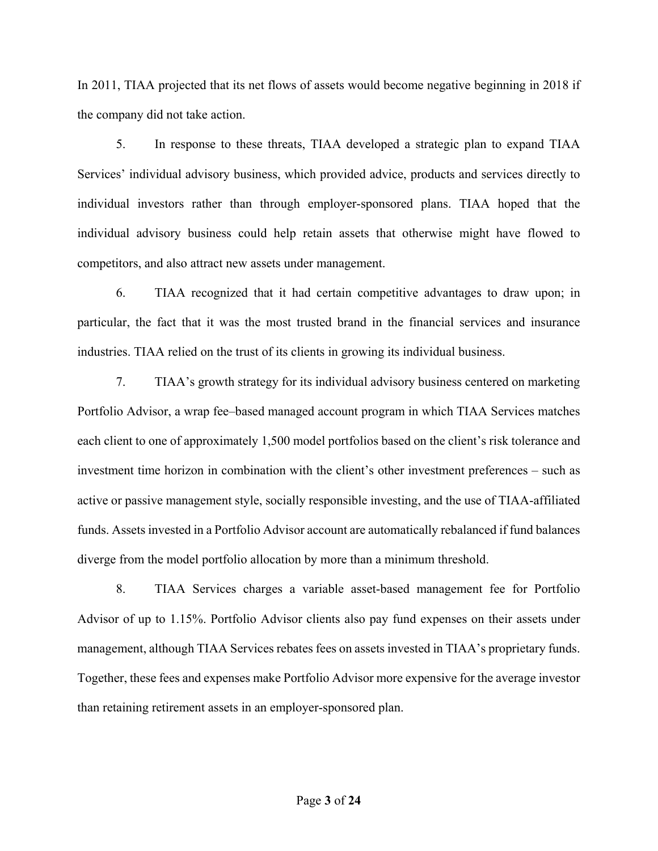In 2011, TIAA projected that its net flows of assets would become negative beginning in 2018 if the company did not take action.

5. In response to these threats, TIAA developed a strategic plan to expand TIAA Services' individual advisory business, which provided advice, products and services directly to individual investors rather than through employer-sponsored plans. TIAA hoped that the individual advisory business could help retain assets that otherwise might have flowed to competitors, and also attract new assets under management.

6. TIAA recognized that it had certain competitive advantages to draw upon; in particular, the fact that it was the most trusted brand in the financial services and insurance industries. TIAA relied on the trust of its clients in growing its individual business.

7. TIAA's growth strategy for its individual advisory business centered on marketing Portfolio Advisor, a wrap fee–based managed account program in which TIAA Services matches each client to one of approximately 1,500 model portfolios based on the client's risk tolerance and investment time horizon in combination with the client's other investment preferences – such as active or passive management style, socially responsible investing, and the use of TIAA-affiliated funds. Assets invested in a Portfolio Advisor account are automatically rebalanced if fund balances diverge from the model portfolio allocation by more than a minimum threshold.

8. TIAA Services charges a variable asset-based management fee for Portfolio Advisor of up to 1.15%. Portfolio Advisor clients also pay fund expenses on their assets under management, although TIAA Services rebates fees on assets invested in TIAA's proprietary funds. Together, these fees and expenses make Portfolio Advisor more expensive for the average investor than retaining retirement assets in an employer-sponsored plan.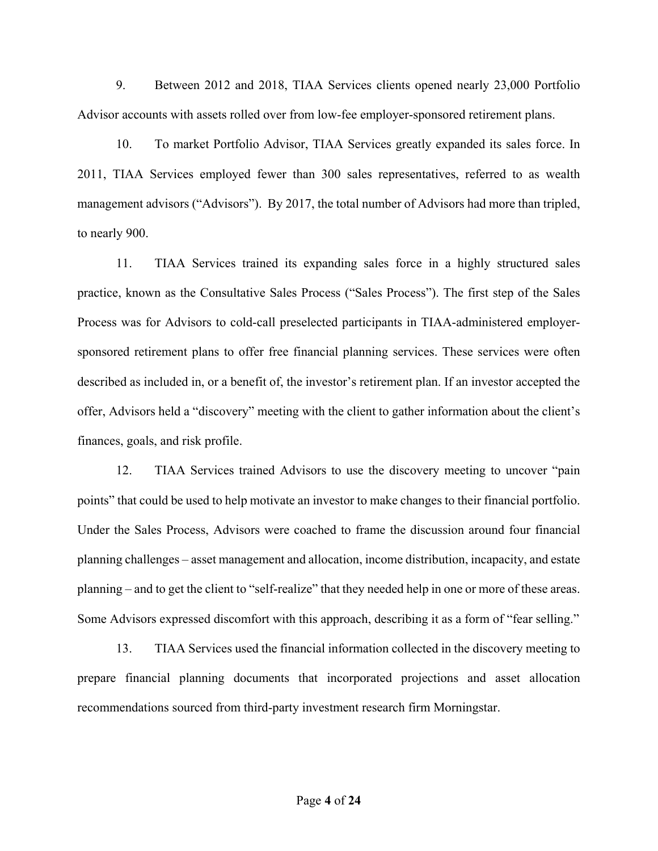9. Between 2012 and 2018, TIAA Services clients opened nearly 23,000 Portfolio Advisor accounts with assets rolled over from low-fee employer-sponsored retirement plans.

10. To market Portfolio Advisor, TIAA Services greatly expanded its sales force. In 2011, TIAA Services employed fewer than 300 sales representatives, referred to as wealth management advisors ("Advisors"). By 2017, the total number of Advisors had more than tripled, to nearly 900.

11. TIAA Services trained its expanding sales force in a highly structured sales practice, known as the Consultative Sales Process ("Sales Process"). The first step of the Sales Process was for Advisors to cold-call preselected participants in TIAA-administered employersponsored retirement plans to offer free financial planning services. These services were often described as included in, or a benefit of, the investor's retirement plan. If an investor accepted the offer, Advisors held a "discovery" meeting with the client to gather information about the client's finances, goals, and risk profile.

12. TIAA Services trained Advisors to use the discovery meeting to uncover "pain points" that could be used to help motivate an investor to make changes to their financial portfolio. Under the Sales Process, Advisors were coached to frame the discussion around four financial planning challenges – asset management and allocation, income distribution, incapacity, and estate planning – and to get the client to "self-realize" that they needed help in one or more of these areas. Some Advisors expressed discomfort with this approach, describing it as a form of "fear selling."

13. TIAA Services used the financial information collected in the discovery meeting to prepare financial planning documents that incorporated projections and asset allocation recommendations sourced from third-party investment research firm Morningstar.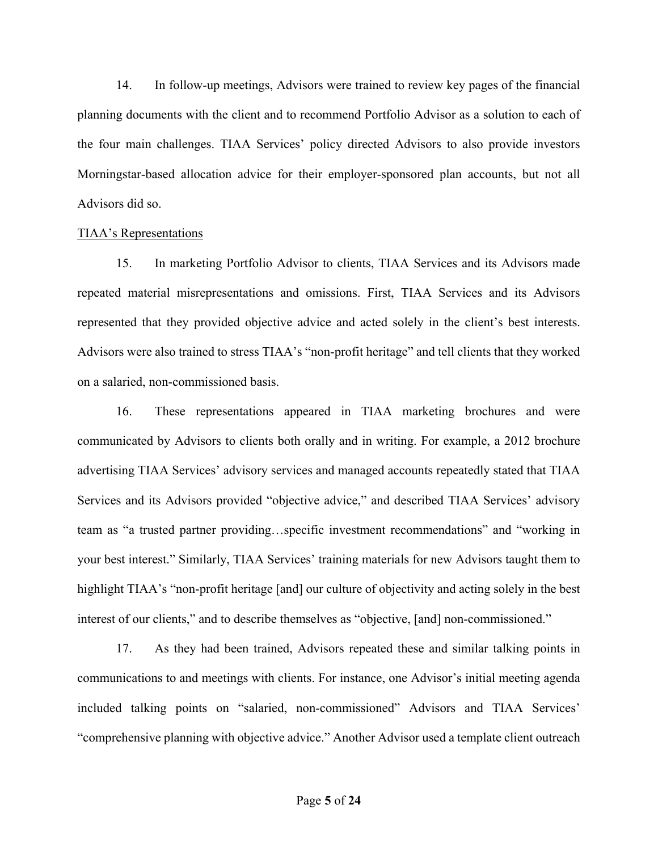14. In follow-up meetings, Advisors were trained to review key pages of the financial planning documents with the client and to recommend Portfolio Advisor as a solution to each of the four main challenges. TIAA Services' policy directed Advisors to also provide investors Morningstar-based allocation advice for their employer-sponsored plan accounts, but not all Advisors did so.

### TIAA's Representations

15. In marketing Portfolio Advisor to clients, TIAA Services and its Advisors made repeated material misrepresentations and omissions. First, TIAA Services and its Advisors represented that they provided objective advice and acted solely in the client's best interests. Advisors were also trained to stress TIAA's "non-profit heritage" and tell clients that they worked on a salaried, non-commissioned basis.

16. These representations appeared in TIAA marketing brochures and were communicated by Advisors to clients both orally and in writing. For example, a 2012 brochure advertising TIAA Services' advisory services and managed accounts repeatedly stated that TIAA Services and its Advisors provided "objective advice," and described TIAA Services' advisory team as "a trusted partner providing…specific investment recommendations" and "working in your best interest." Similarly, TIAA Services' training materials for new Advisors taught them to highlight TIAA's "non-profit heritage [and] our culture of objectivity and acting solely in the best interest of our clients," and to describe themselves as "objective, [and] non-commissioned."

17. As they had been trained, Advisors repeated these and similar talking points in communications to and meetings with clients. For instance, one Advisor's initial meeting agenda included talking points on "salaried, non-commissioned" Advisors and TIAA Services' "comprehensive planning with objective advice." Another Advisor used a template client outreach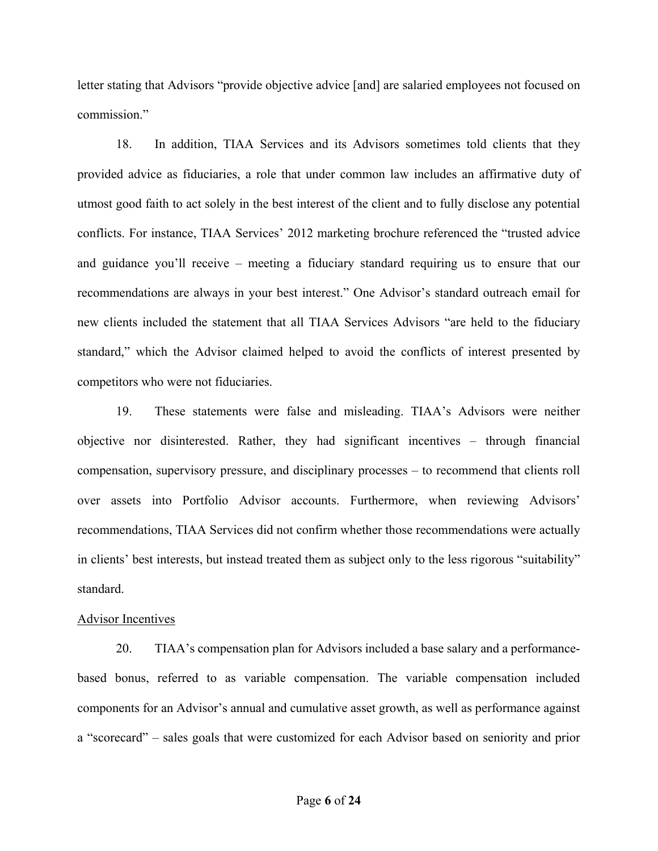letter stating that Advisors "provide objective advice [and] are salaried employees not focused on commission."

18. In addition, TIAA Services and its Advisors sometimes told clients that they provided advice as fiduciaries, a role that under common law includes an affirmative duty of utmost good faith to act solely in the best interest of the client and to fully disclose any potential conflicts. For instance, TIAA Services' 2012 marketing brochure referenced the "trusted advice and guidance you'll receive – meeting a fiduciary standard requiring us to ensure that our recommendations are always in your best interest." One Advisor's standard outreach email for new clients included the statement that all TIAA Services Advisors "are held to the fiduciary standard," which the Advisor claimed helped to avoid the conflicts of interest presented by competitors who were not fiduciaries.

19. These statements were false and misleading. TIAA's Advisors were neither objective nor disinterested. Rather, they had significant incentives – through financial compensation, supervisory pressure, and disciplinary processes – to recommend that clients roll over assets into Portfolio Advisor accounts. Furthermore, when reviewing Advisors' recommendations, TIAA Services did not confirm whether those recommendations were actually in clients' best interests, but instead treated them as subject only to the less rigorous "suitability" standard.

#### Advisor Incentives

20. TIAA's compensation plan for Advisors included a base salary and a performancebased bonus, referred to as variable compensation. The variable compensation included components for an Advisor's annual and cumulative asset growth, as well as performance against a "scorecard" – sales goals that were customized for each Advisor based on seniority and prior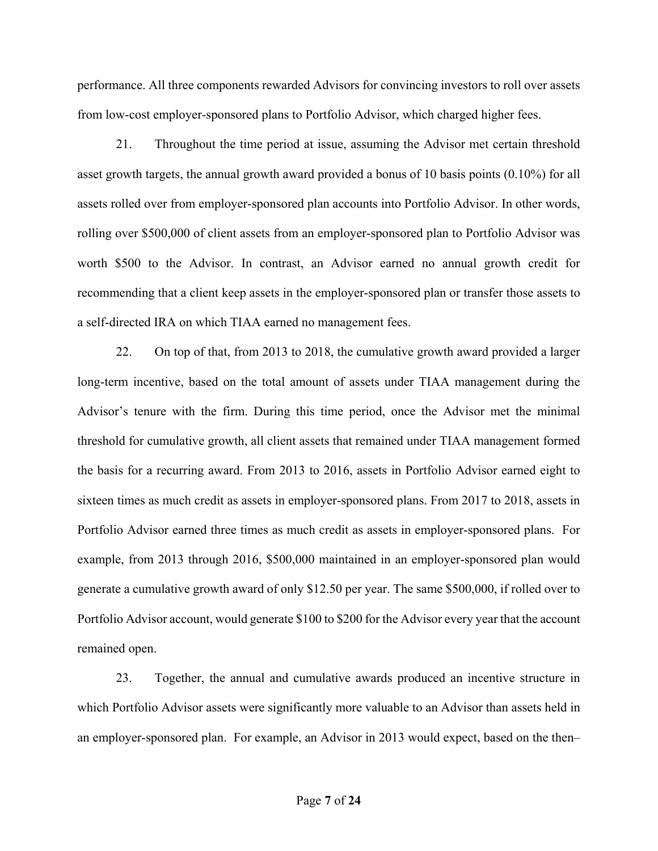performance. All three components rewarded Advisors for convincing investors to roll over assets from low-cost employer-sponsored plans to Portfolio Advisor, which charged higher fees.

21. Throughout the time period at issue, assuming the Advisor met certain threshold asset growth targets, the annual growth award provided a bonus of 10 basis points (0.10%) for all assets rolled over from employer-sponsored plan accounts into Portfolio Advisor. In other words, rolling over \$500,000 of client assets from an employer-sponsored plan to Portfolio Advisor was worth \$500 to the Advisor. In contrast, an Advisor earned no annual growth credit for recommending that a client keep assets in the employer-sponsored plan or transfer those assets to a self-directed IRA on which TIAA earned no management fees.

22. On top of that, from 2013 to 2018, the cumulative growth award provided a larger long-term incentive, based on the total amount of assets under TIAA management during the Advisor's tenure with the firm. During this time period, once the Advisor met the minimal threshold for cumulative growth, all client assets that remained under TIAA management formed the basis for a recurring award. From 2013 to 2016, assets in Portfolio Advisor earned eight to sixteen times as much credit as assets in employer-sponsored plans. From 2017 to 2018, assets in Portfolio Advisor earned three times as much credit as assets in employer-sponsored plans. For example, from 2013 through 2016, \$500,000 maintained in an employer-sponsored plan would generate a cumulative growth award of only \$12.50 per year. The same \$500,000, if rolled over to Portfolio Advisor account, would generate \$100 to \$200 for the Advisor every year that the account remained open.

23. Together, the annual and cumulative awards produced an incentive structure in which Portfolio Advisor assets were significantly more valuable to an Advisor than assets held in an employer-sponsored plan. For example, an Advisor in 2013 would expect, based on the then–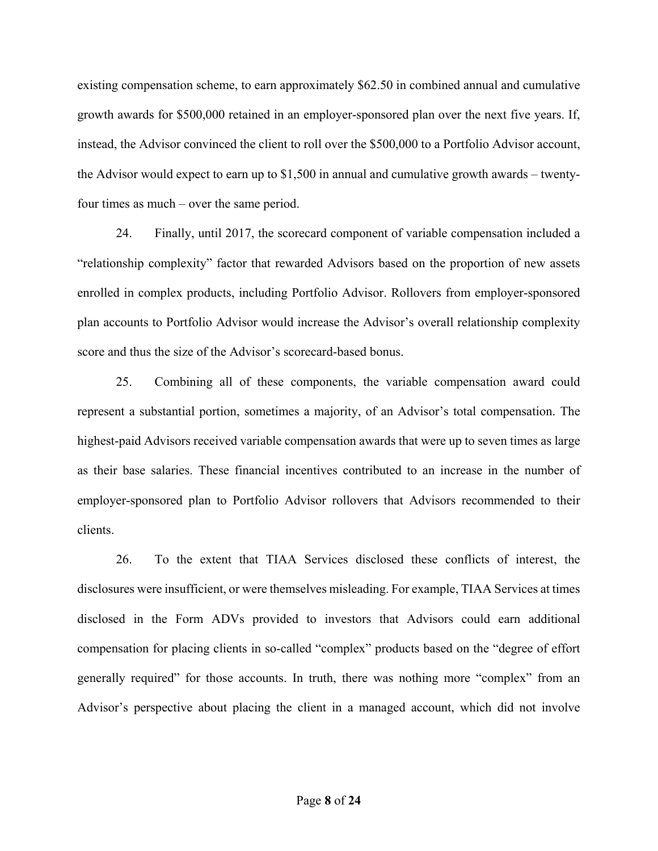existing compensation scheme, to earn approximately \$62.50 in combined annual and cumulative growth awards for \$500,000 retained in an employer-sponsored plan over the next five years. If, instead, the Advisor convinced the client to roll over the \$500,000 to a Portfolio Advisor account, the Advisor would expect to earn up to \$1,500 in annual and cumulative growth awards – twentyfour times as much – over the same period.

24. Finally, until 2017, the scorecard component of variable compensation included a "relationship complexity" factor that rewarded Advisors based on the proportion of new assets enrolled in complex products, including Portfolio Advisor. Rollovers from employer-sponsored plan accounts to Portfolio Advisor would increase the Advisor's overall relationship complexity score and thus the size of the Advisor's scorecard-based bonus.

25. Combining all of these components, the variable compensation award could represent a substantial portion, sometimes a majority, of an Advisor's total compensation. The highest-paid Advisors received variable compensation awards that were up to seven times as large as their base salaries. These financial incentives contributed to an increase in the number of employer-sponsored plan to Portfolio Advisor rollovers that Advisors recommended to their clients.

26. To the extent that TIAA Services disclosed these conflicts of interest, the disclosures were insufficient, or were themselves misleading. For example, TIAA Services at times disclosed in the Form ADVs provided to investors that Advisors could earn additional compensation for placing clients in so-called "complex" products based on the "degree of effort generally required" for those accounts. In truth, there was nothing more "complex" from an Advisor's perspective about placing the client in a managed account, which did not involve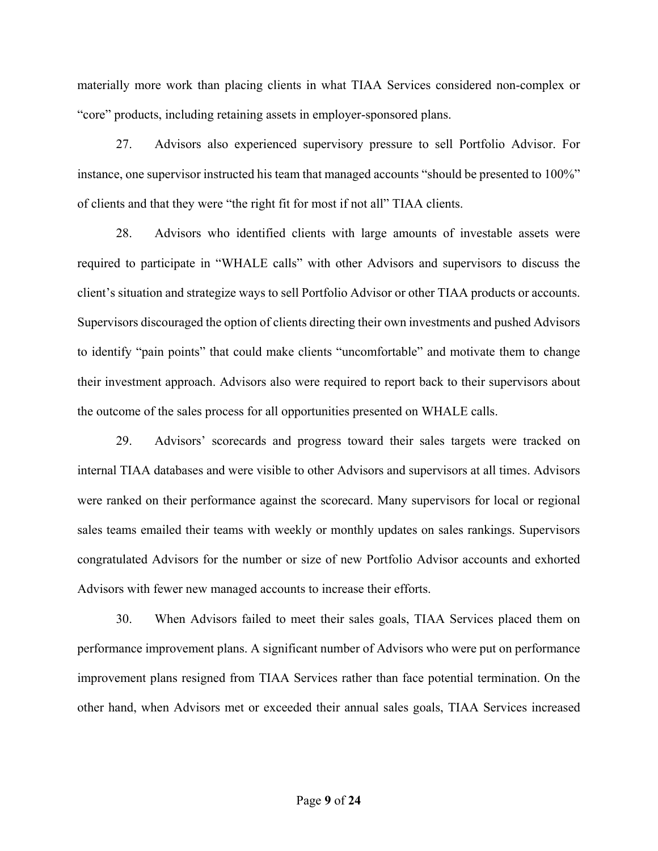materially more work than placing clients in what TIAA Services considered non-complex or "core" products, including retaining assets in employer-sponsored plans.

27. Advisors also experienced supervisory pressure to sell Portfolio Advisor. For instance, one supervisor instructed his team that managed accounts "should be presented to 100%" of clients and that they were "the right fit for most if not all" TIAA clients.

28. Advisors who identified clients with large amounts of investable assets were required to participate in "WHALE calls" with other Advisors and supervisors to discuss the client's situation and strategize ways to sell Portfolio Advisor or other TIAA products or accounts. Supervisors discouraged the option of clients directing their own investments and pushed Advisors to identify "pain points" that could make clients "uncomfortable" and motivate them to change their investment approach. Advisors also were required to report back to their supervisors about the outcome of the sales process for all opportunities presented on WHALE calls.

29. Advisors' scorecards and progress toward their sales targets were tracked on internal TIAA databases and were visible to other Advisors and supervisors at all times. Advisors were ranked on their performance against the scorecard. Many supervisors for local or regional sales teams emailed their teams with weekly or monthly updates on sales rankings. Supervisors congratulated Advisors for the number or size of new Portfolio Advisor accounts and exhorted Advisors with fewer new managed accounts to increase their efforts.

30. When Advisors failed to meet their sales goals, TIAA Services placed them on performance improvement plans. A significant number of Advisors who were put on performance improvement plans resigned from TIAA Services rather than face potential termination. On the other hand, when Advisors met or exceeded their annual sales goals, TIAA Services increased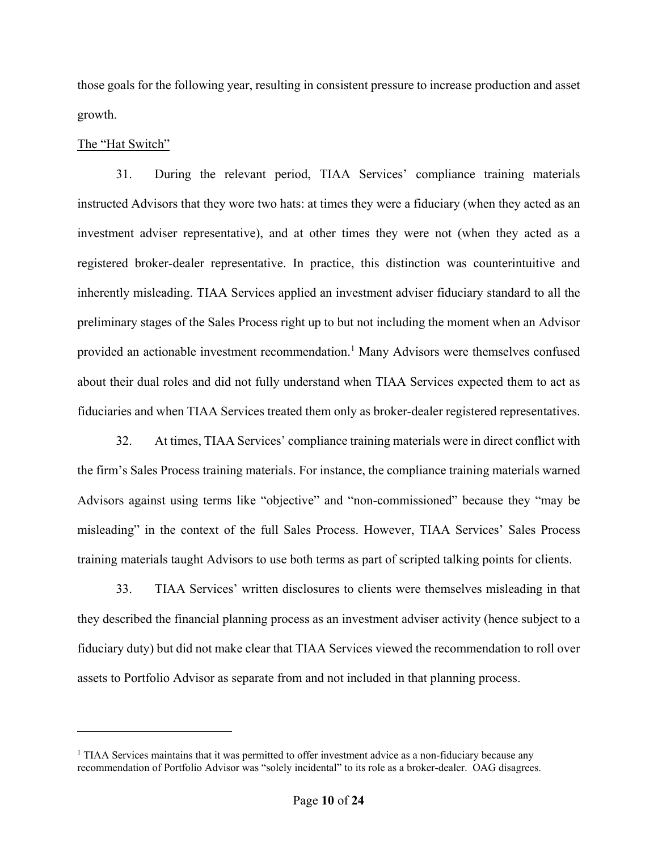those goals for the following year, resulting in consistent pressure to increase production and asset growth.

## The "Hat Switch"

 $\overline{a}$ 

31. During the relevant period, TIAA Services' compliance training materials instructed Advisors that they wore two hats: at times they were a fiduciary (when they acted as an investment adviser representative), and at other times they were not (when they acted as a registered broker-dealer representative. In practice, this distinction was counterintuitive and inherently misleading. TIAA Services applied an investment adviser fiduciary standard to all the preliminary stages of the Sales Process right up to but not including the moment when an Advisor provided an actionable investment recommendation.<sup>1</sup> Many Advisors were themselves confused about their dual roles and did not fully understand when TIAA Services expected them to act as fiduciaries and when TIAA Services treated them only as broker-dealer registered representatives.

32. At times, TIAA Services' compliance training materials were in direct conflict with the firm's Sales Process training materials. For instance, the compliance training materials warned Advisors against using terms like "objective" and "non-commissioned" because they "may be misleading" in the context of the full Sales Process. However, TIAA Services' Sales Process training materials taught Advisors to use both terms as part of scripted talking points for clients.

33. TIAA Services' written disclosures to clients were themselves misleading in that they described the financial planning process as an investment adviser activity (hence subject to a fiduciary duty) but did not make clear that TIAA Services viewed the recommendation to roll over assets to Portfolio Advisor as separate from and not included in that planning process.

<sup>&</sup>lt;sup>1</sup> TIAA Services maintains that it was permitted to offer investment advice as a non-fiduciary because any recommendation of Portfolio Advisor was "solely incidental" to its role as a broker-dealer. OAG disagrees.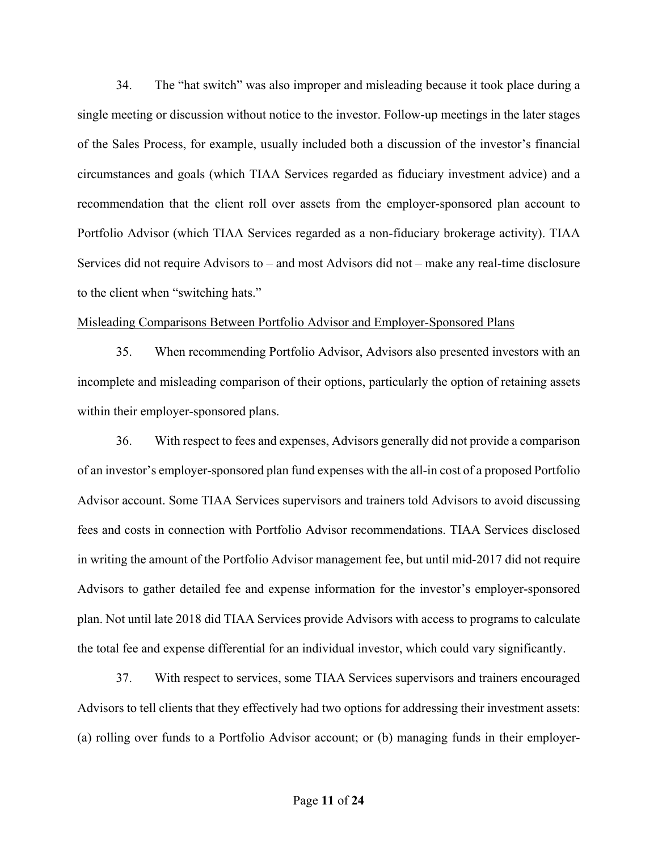34. The "hat switch" was also improper and misleading because it took place during a single meeting or discussion without notice to the investor. Follow-up meetings in the later stages of the Sales Process, for example, usually included both a discussion of the investor's financial circumstances and goals (which TIAA Services regarded as fiduciary investment advice) and a recommendation that the client roll over assets from the employer-sponsored plan account to Portfolio Advisor (which TIAA Services regarded as a non-fiduciary brokerage activity). TIAA Services did not require Advisors to – and most Advisors did not – make any real-time disclosure to the client when "switching hats."

#### Misleading Comparisons Between Portfolio Advisor and Employer-Sponsored Plans

35. When recommending Portfolio Advisor, Advisors also presented investors with an incomplete and misleading comparison of their options, particularly the option of retaining assets within their employer-sponsored plans.

36. With respect to fees and expenses, Advisors generally did not provide a comparison of an investor's employer-sponsored plan fund expenses with the all-in cost of a proposed Portfolio Advisor account. Some TIAA Services supervisors and trainers told Advisors to avoid discussing fees and costs in connection with Portfolio Advisor recommendations. TIAA Services disclosed in writing the amount of the Portfolio Advisor management fee, but until mid-2017 did not require Advisors to gather detailed fee and expense information for the investor's employer-sponsored plan. Not until late 2018 did TIAA Services provide Advisors with access to programs to calculate the total fee and expense differential for an individual investor, which could vary significantly.

37. With respect to services, some TIAA Services supervisors and trainers encouraged Advisors to tell clients that they effectively had two options for addressing their investment assets: (a) rolling over funds to a Portfolio Advisor account; or (b) managing funds in their employer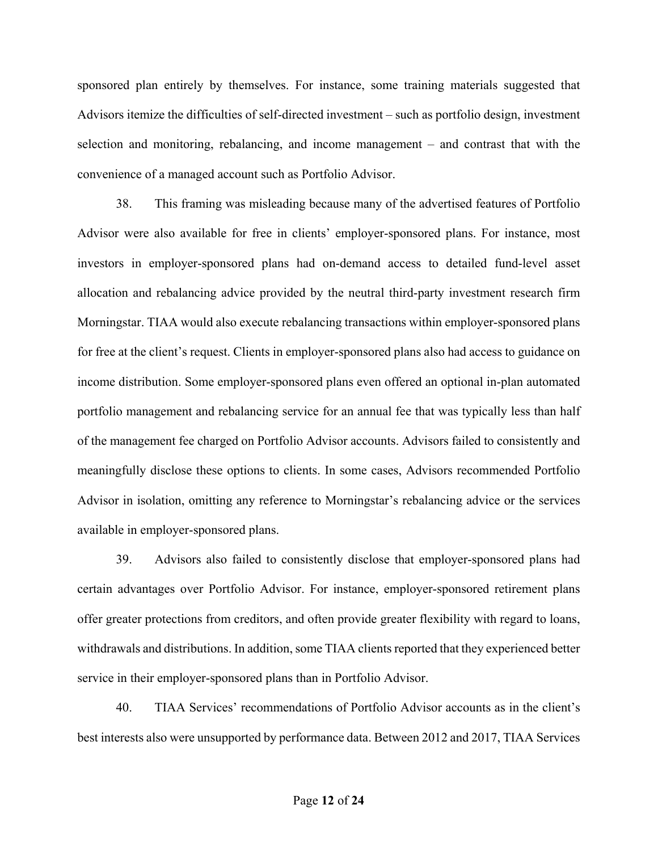sponsored plan entirely by themselves. For instance, some training materials suggested that Advisors itemize the difficulties of self-directed investment – such as portfolio design, investment selection and monitoring, rebalancing, and income management – and contrast that with the convenience of a managed account such as Portfolio Advisor.

38. This framing was misleading because many of the advertised features of Portfolio Advisor were also available for free in clients' employer-sponsored plans. For instance, most investors in employer-sponsored plans had on-demand access to detailed fund-level asset allocation and rebalancing advice provided by the neutral third-party investment research firm Morningstar. TIAA would also execute rebalancing transactions within employer-sponsored plans for free at the client's request. Clients in employer-sponsored plans also had access to guidance on income distribution. Some employer-sponsored plans even offered an optional in-plan automated portfolio management and rebalancing service for an annual fee that was typically less than half of the management fee charged on Portfolio Advisor accounts. Advisors failed to consistently and meaningfully disclose these options to clients. In some cases, Advisors recommended Portfolio Advisor in isolation, omitting any reference to Morningstar's rebalancing advice or the services available in employer-sponsored plans.

39. Advisors also failed to consistently disclose that employer-sponsored plans had certain advantages over Portfolio Advisor. For instance, employer-sponsored retirement plans offer greater protections from creditors, and often provide greater flexibility with regard to loans, withdrawals and distributions. In addition, some TIAA clients reported that they experienced better service in their employer-sponsored plans than in Portfolio Advisor.

40. TIAA Services' recommendations of Portfolio Advisor accounts as in the client's best interests also were unsupported by performance data. Between 2012 and 2017, TIAA Services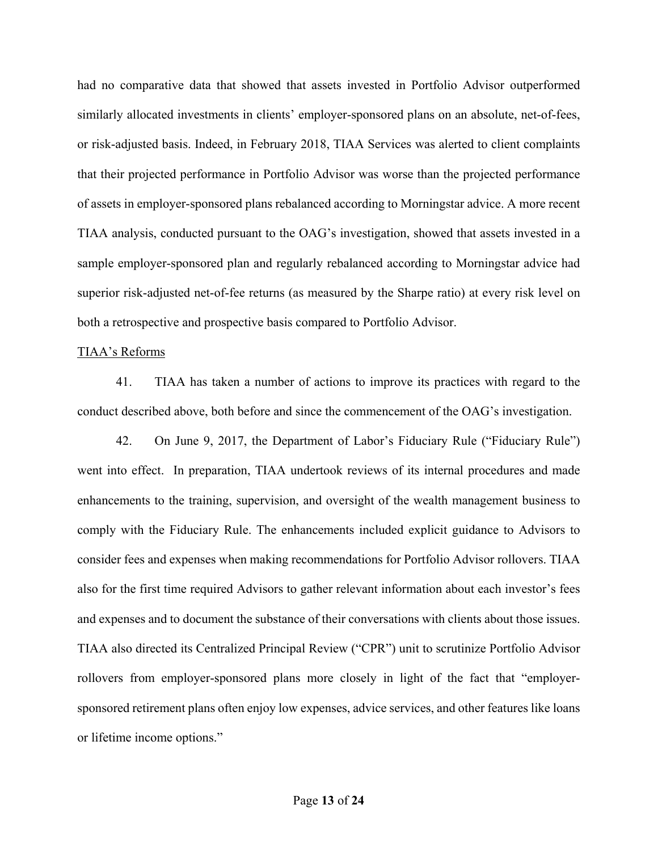had no comparative data that showed that assets invested in Portfolio Advisor outperformed similarly allocated investments in clients' employer-sponsored plans on an absolute, net-of-fees, or risk-adjusted basis. Indeed, in February 2018, TIAA Services was alerted to client complaints that their projected performance in Portfolio Advisor was worse than the projected performance of assets in employer-sponsored plans rebalanced according to Morningstar advice. A more recent TIAA analysis, conducted pursuant to the OAG's investigation, showed that assets invested in a sample employer-sponsored plan and regularly rebalanced according to Morningstar advice had superior risk-adjusted net-of-fee returns (as measured by the Sharpe ratio) at every risk level on both a retrospective and prospective basis compared to Portfolio Advisor.

#### TIAA's Reforms

41. TIAA has taken a number of actions to improve its practices with regard to the conduct described above, both before and since the commencement of the OAG's investigation.

42. On June 9, 2017, the Department of Labor's Fiduciary Rule ("Fiduciary Rule") went into effect. In preparation, TIAA undertook reviews of its internal procedures and made enhancements to the training, supervision, and oversight of the wealth management business to comply with the Fiduciary Rule. The enhancements included explicit guidance to Advisors to consider fees and expenses when making recommendations for Portfolio Advisor rollovers. TIAA also for the first time required Advisors to gather relevant information about each investor's fees and expenses and to document the substance of their conversations with clients about those issues. TIAA also directed its Centralized Principal Review ("CPR") unit to scrutinize Portfolio Advisor rollovers from employer-sponsored plans more closely in light of the fact that "employersponsored retirement plans often enjoy low expenses, advice services, and other features like loans or lifetime income options."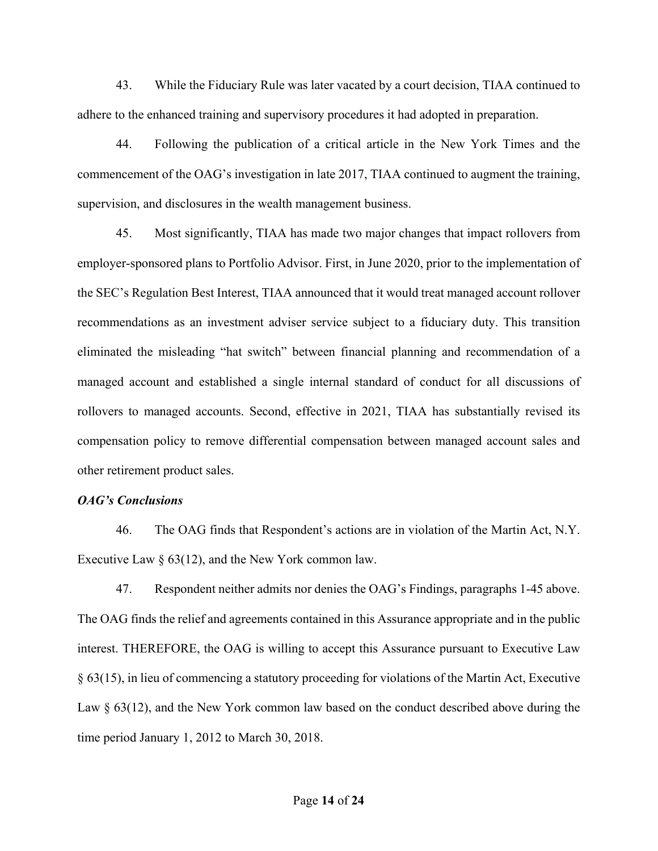43. While the Fiduciary Rule was later vacated by a court decision, TIAA continued to adhere to the enhanced training and supervisory procedures it had adopted in preparation.

44. Following the publication of a critical article in the New York Times and the commencement of the OAG's investigation in late 2017, TIAA continued to augment the training, supervision, and disclosures in the wealth management business.

45. Most significantly, TIAA has made two major changes that impact rollovers from employer-sponsored plans to Portfolio Advisor. First, in June 2020, prior to the implementation of the SEC's Regulation Best Interest, TIAA announced that it would treat managed account rollover recommendations as an investment adviser service subject to a fiduciary duty. This transition eliminated the misleading "hat switch" between financial planning and recommendation of a managed account and established a single internal standard of conduct for all discussions of rollovers to managed accounts. Second, effective in 2021, TIAA has substantially revised its compensation policy to remove differential compensation between managed account sales and other retirement product sales.

### *OAG's Conclusions*

46. The OAG finds that Respondent's actions are in violation of the Martin Act, N.Y. Executive Law § 63(12), and the New York common law.

47. Respondent neither admits nor denies the OAG's Findings, paragraphs 1-45 above. The OAG finds the relief and agreements contained in this Assurance appropriate and in the public interest. THEREFORE, the OAG is willing to accept this Assurance pursuant to Executive Law § 63(15), in lieu of commencing a statutory proceeding for violations of the Martin Act, Executive Law § 63(12), and the New York common law based on the conduct described above during the time period January 1, 2012 to March 30, 2018.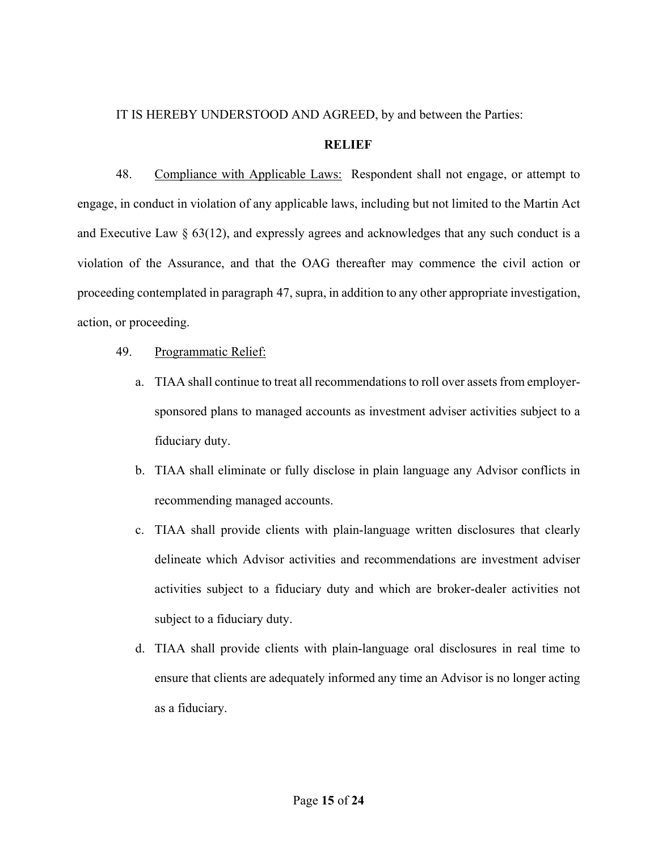# IT IS HEREBY UNDERSTOOD AND AGREED, by and between the Parties:

## **RELIEF**

48. Compliance with Applicable Laws: Respondent shall not engage, or attempt to engage, in conduct in violation of any applicable laws, including but not limited to the Martin Act and Executive Law § 63(12), and expressly agrees and acknowledges that any such conduct is a violation of the Assurance, and that the OAG thereafter may commence the civil action or proceeding contemplated in paragraph 47, supra, in addition to any other appropriate investigation, action, or proceeding.

- 49. Programmatic Relief:
	- a. TIAA shall continue to treat all recommendations to roll over assets from employersponsored plans to managed accounts as investment adviser activities subject to a fiduciary duty.
	- b. TIAA shall eliminate or fully disclose in plain language any Advisor conflicts in recommending managed accounts.
	- c. TIAA shall provide clients with plain-language written disclosures that clearly delineate which Advisor activities and recommendations are investment adviser activities subject to a fiduciary duty and which are broker-dealer activities not subject to a fiduciary duty.
	- d. TIAA shall provide clients with plain-language oral disclosures in real time to ensure that clients are adequately informed any time an Advisor is no longer acting as a fiduciary.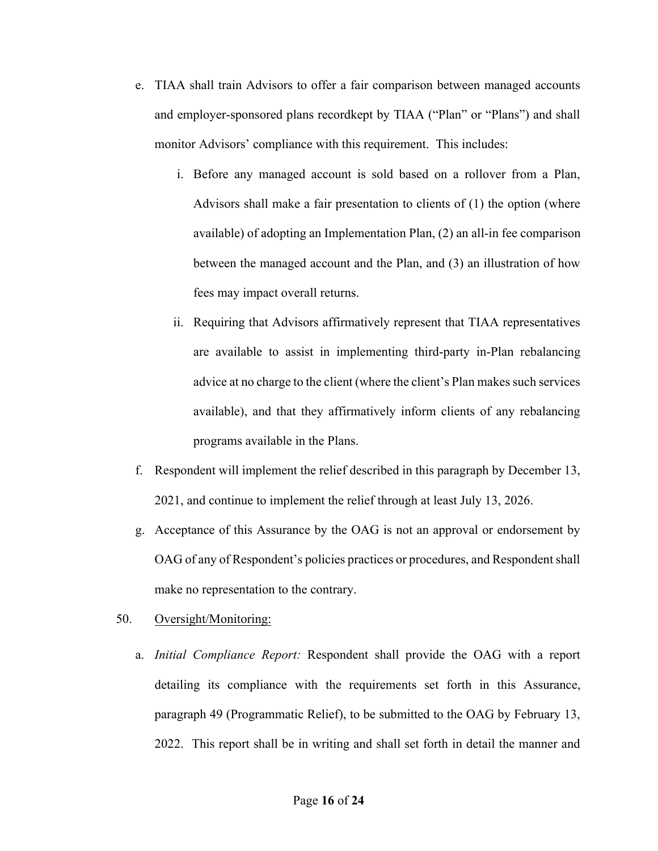- e. TIAA shall train Advisors to offer a fair comparison between managed accounts and employer-sponsored plans recordkept by TIAA ("Plan" or "Plans") and shall monitor Advisors' compliance with this requirement. This includes:
	- i. Before any managed account is sold based on a rollover from a Plan, Advisors shall make a fair presentation to clients of (1) the option (where available) of adopting an Implementation Plan, (2) an all-in fee comparison between the managed account and the Plan, and (3) an illustration of how fees may impact overall returns.
	- ii. Requiring that Advisors affirmatively represent that TIAA representatives are available to assist in implementing third-party in-Plan rebalancing advice at no charge to the client (where the client's Plan makes such services available), and that they affirmatively inform clients of any rebalancing programs available in the Plans.
- f. Respondent will implement the relief described in this paragraph by December 13, 2021, and continue to implement the relief through at least July 13, 2026.
- g. Acceptance of this Assurance by the OAG is not an approval or endorsement by OAG of any of Respondent's policies practices or procedures, and Respondent shall make no representation to the contrary.
- 50. Oversight/Monitoring:
	- a. *Initial Compliance Report:* Respondent shall provide the OAG with a report detailing its compliance with the requirements set forth in this Assurance, paragraph 49 (Programmatic Relief), to be submitted to the OAG by February 13, 2022. This report shall be in writing and shall set forth in detail the manner and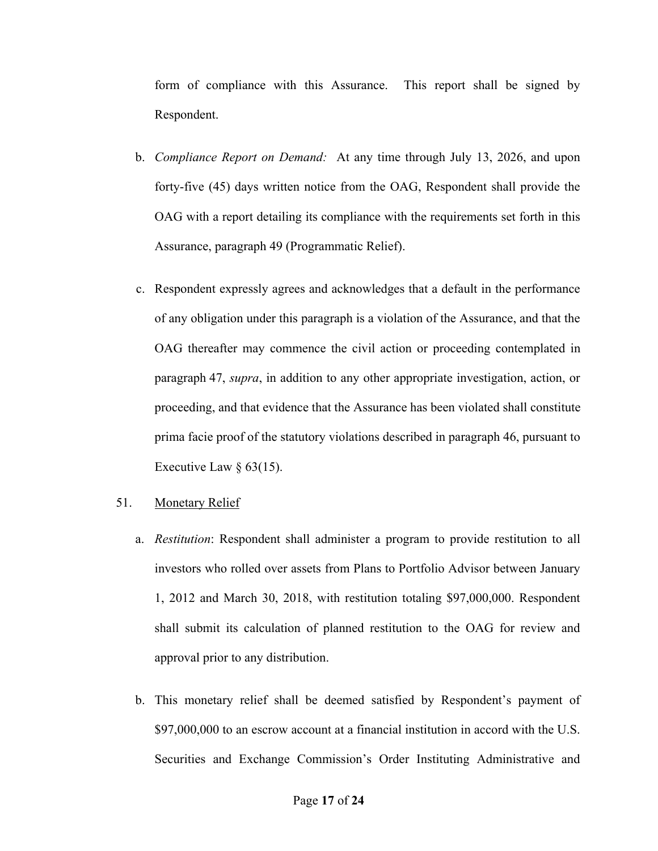form of compliance with this Assurance. This report shall be signed by Respondent.

- b. *Compliance Report on Demand:* At any time through July 13, 2026, and upon forty-five (45) days written notice from the OAG, Respondent shall provide the OAG with a report detailing its compliance with the requirements set forth in this Assurance, paragraph 49 (Programmatic Relief).
- c. Respondent expressly agrees and acknowledges that a default in the performance of any obligation under this paragraph is a violation of the Assurance, and that the OAG thereafter may commence the civil action or proceeding contemplated in paragraph 47, *supra*, in addition to any other appropriate investigation, action, or proceeding, and that evidence that the Assurance has been violated shall constitute prima facie proof of the statutory violations described in paragraph 46, pursuant to Executive Law  $\S$  63(15).

# 51. Monetary Relief

- a. *Restitution*: Respondent shall administer a program to provide restitution to all investors who rolled over assets from Plans to Portfolio Advisor between January 1, 2012 and March 30, 2018, with restitution totaling \$97,000,000. Respondent shall submit its calculation of planned restitution to the OAG for review and approval prior to any distribution.
- b. This monetary relief shall be deemed satisfied by Respondent's payment of \$97,000,000 to an escrow account at a financial institution in accord with the U.S. Securities and Exchange Commission's Order Instituting Administrative and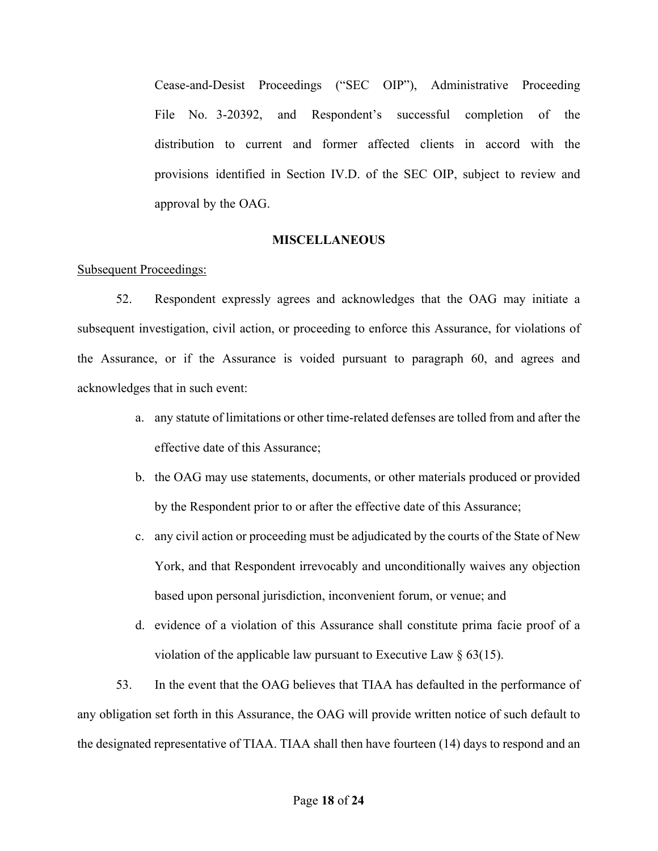Cease-and-Desist Proceedings ("SEC OIP"), Administrative Proceeding File No. 3-20392, and Respondent's successful completion of the distribution to current and former affected clients in accord with the provisions identified in Section IV.D. of the SEC OIP, subject to review and approval by the OAG.

### **MISCELLANEOUS**

### Subsequent Proceedings:

52. Respondent expressly agrees and acknowledges that the OAG may initiate a subsequent investigation, civil action, or proceeding to enforce this Assurance, for violations of the Assurance, or if the Assurance is voided pursuant to paragraph 60, and agrees and acknowledges that in such event:

- a. any statute of limitations or other time-related defenses are tolled from and after the effective date of this Assurance;
- b. the OAG may use statements, documents, or other materials produced or provided by the Respondent prior to or after the effective date of this Assurance;
- c. any civil action or proceeding must be adjudicated by the courts of the State of New York, and that Respondent irrevocably and unconditionally waives any objection based upon personal jurisdiction, inconvenient forum, or venue; and
- d. evidence of a violation of this Assurance shall constitute prima facie proof of a violation of the applicable law pursuant to Executive Law  $\S$  63(15).

53. In the event that the OAG believes that TIAA has defaulted in the performance of any obligation set forth in this Assurance, the OAG will provide written notice of such default to the designated representative of TIAA. TIAA shall then have fourteen (14) days to respond and an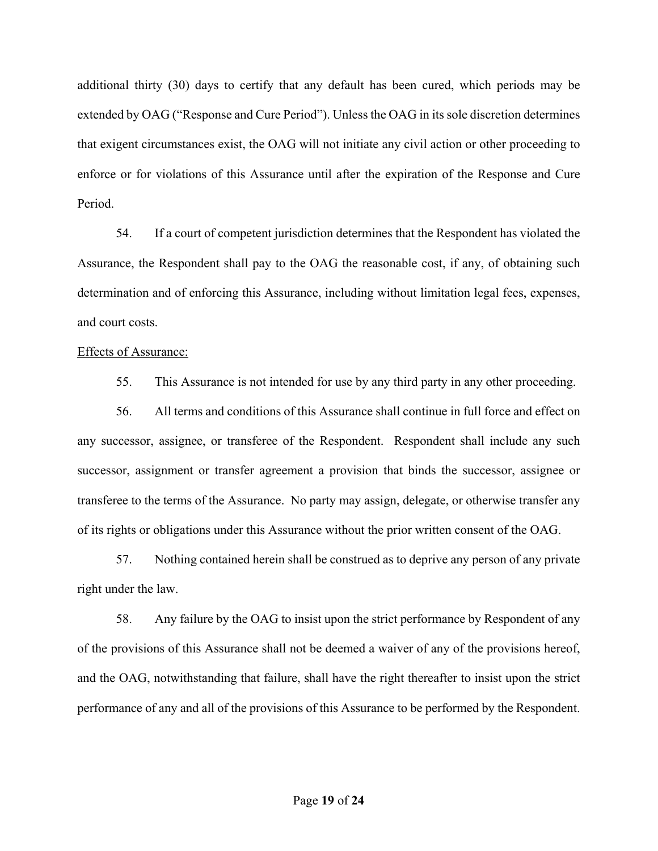additional thirty (30) days to certify that any default has been cured, which periods may be extended by OAG ("Response and Cure Period"). Unless the OAG in its sole discretion determines that exigent circumstances exist, the OAG will not initiate any civil action or other proceeding to enforce or for violations of this Assurance until after the expiration of the Response and Cure Period.

54. If a court of competent jurisdiction determines that the Respondent has violated the Assurance, the Respondent shall pay to the OAG the reasonable cost, if any, of obtaining such determination and of enforcing this Assurance, including without limitation legal fees, expenses, and court costs.

#### Effects of Assurance:

55. This Assurance is not intended for use by any third party in any other proceeding.

56. All terms and conditions of this Assurance shall continue in full force and effect on any successor, assignee, or transferee of the Respondent. Respondent shall include any such successor, assignment or transfer agreement a provision that binds the successor, assignee or transferee to the terms of the Assurance. No party may assign, delegate, or otherwise transfer any of its rights or obligations under this Assurance without the prior written consent of the OAG.

57. Nothing contained herein shall be construed as to deprive any person of any private right under the law.

58. Any failure by the OAG to insist upon the strict performance by Respondent of any of the provisions of this Assurance shall not be deemed a waiver of any of the provisions hereof, and the OAG, notwithstanding that failure, shall have the right thereafter to insist upon the strict performance of any and all of the provisions of this Assurance to be performed by the Respondent.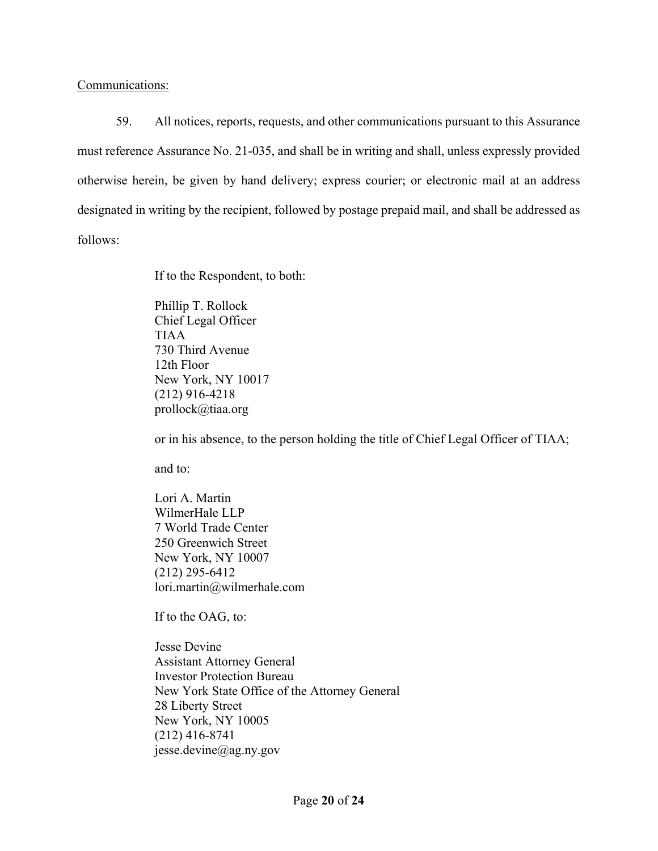# Communications:

59. All notices, reports, requests, and other communications pursuant to this Assurance must reference Assurance No. 21-035, and shall be in writing and shall, unless expressly provided otherwise herein, be given by hand delivery; express courier; or electronic mail at an address designated in writing by the recipient, followed by postage prepaid mail, and shall be addressed as follows:

If to the Respondent, to both:

Phillip T. Rollock Chief Legal Officer TIAA 730 Third Avenue 12th Floor New York, NY 10017 (212) 916-4218 prollock@tiaa.org

or in his absence, to the person holding the title of Chief Legal Officer of TIAA;

and to:

Lori A. Martin WilmerHale LLP 7 World Trade Center 250 Greenwich Street New York, NY 10007 (212) 295-6412 lori.martin@wilmerhale.com

If to the OAG, to:

Jesse Devine Assistant Attorney General Investor Protection Bureau New York State Office of the Attorney General 28 Liberty Street New York, NY 10005 (212) 416-8741 jesse.devine@ag.ny.gov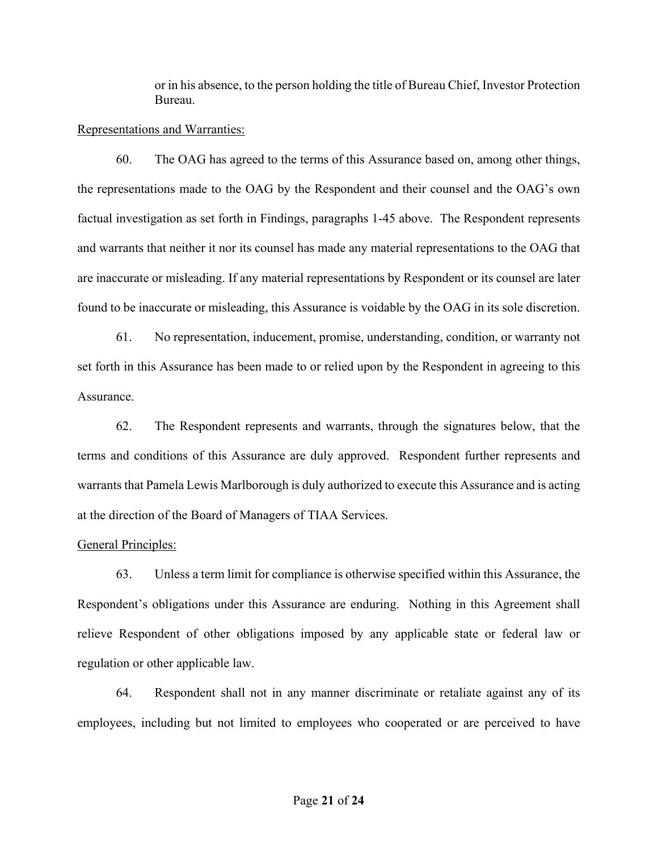or in his absence, to the person holding the title of Bureau Chief, Investor Protection Bureau.

## Representations and Warranties:

60. The OAG has agreed to the terms of this Assurance based on, among other things, the representations made to the OAG by the Respondent and their counsel and the OAG's own factual investigation as set forth in Findings, paragraphs 1-45 above. The Respondent represents and warrants that neither it nor its counsel has made any material representations to the OAG that are inaccurate or misleading. If any material representations by Respondent or its counsel are later found to be inaccurate or misleading, this Assurance is voidable by the OAG in its sole discretion.

61. No representation, inducement, promise, understanding, condition, or warranty not set forth in this Assurance has been made to or relied upon by the Respondent in agreeing to this Assurance.

62. The Respondent represents and warrants, through the signatures below, that the terms and conditions of this Assurance are duly approved. Respondent further represents and warrants that Pamela Lewis Marlborough is duly authorized to execute this Assurance and is acting at the direction of the Board of Managers of TIAA Services.

# General Principles:

63. Unless a term limit for compliance is otherwise specified within this Assurance, the Respondent's obligations under this Assurance are enduring. Nothing in this Agreement shall relieve Respondent of other obligations imposed by any applicable state or federal law or regulation or other applicable law.

64. Respondent shall not in any manner discriminate or retaliate against any of its employees, including but not limited to employees who cooperated or are perceived to have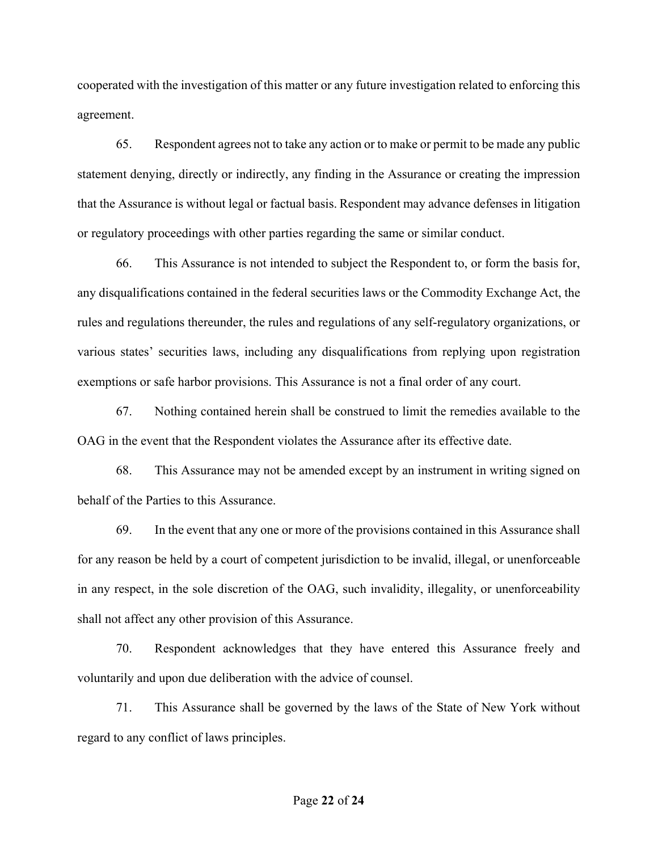cooperated with the investigation of this matter or any future investigation related to enforcing this agreement.

65. Respondent agrees not to take any action or to make or permit to be made any public statement denying, directly or indirectly, any finding in the Assurance or creating the impression that the Assurance is without legal or factual basis. Respondent may advance defenses in litigation or regulatory proceedings with other parties regarding the same or similar conduct.

66. This Assurance is not intended to subject the Respondent to, or form the basis for, any disqualifications contained in the federal securities laws or the Commodity Exchange Act, the rules and regulations thereunder, the rules and regulations of any self-regulatory organizations, or various states' securities laws, including any disqualifications from replying upon registration exemptions or safe harbor provisions. This Assurance is not a final order of any court.

67. Nothing contained herein shall be construed to limit the remedies available to the OAG in the event that the Respondent violates the Assurance after its effective date.

68. This Assurance may not be amended except by an instrument in writing signed on behalf of the Parties to this Assurance.

69. In the event that any one or more of the provisions contained in this Assurance shall for any reason be held by a court of competent jurisdiction to be invalid, illegal, or unenforceable in any respect, in the sole discretion of the OAG, such invalidity, illegality, or unenforceability shall not affect any other provision of this Assurance.

70. Respondent acknowledges that they have entered this Assurance freely and voluntarily and upon due deliberation with the advice of counsel.

71. This Assurance shall be governed by the laws of the State of New York without regard to any conflict of laws principles.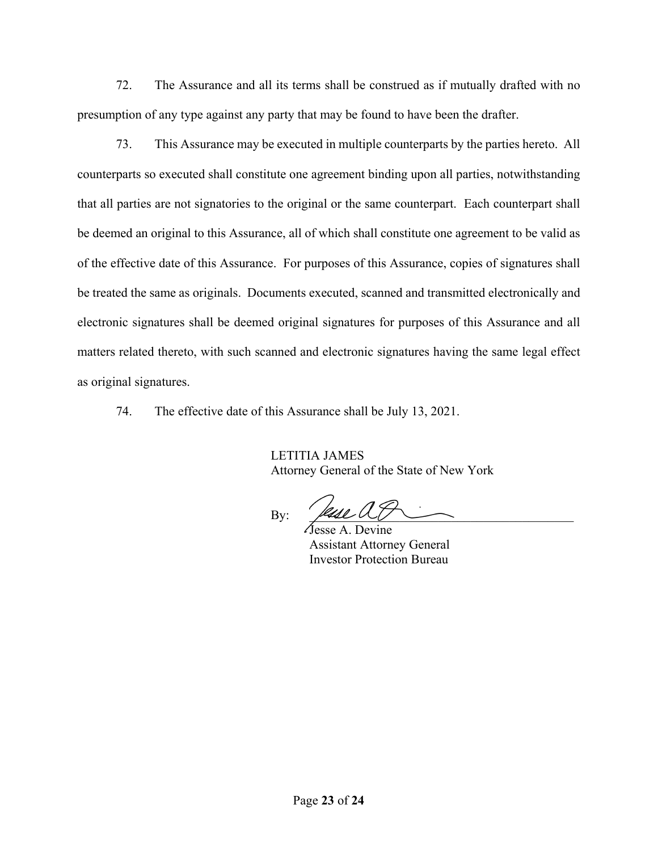72. The Assurance and all its terms shall be construed as if mutually drafted with no presumption of any type against any party that may be found to have been the drafter.

73. This Assurance may be executed in multiple counterparts by the parties hereto. All counterparts so executed shall constitute one agreement binding upon all parties, notwithstanding that all parties are not signatories to the original or the same counterpart. Each counterpart shall be deemed an original to this Assurance, all of which shall constitute one agreement to be valid as of the effective date of this Assurance. For purposes of this Assurance, copies of signatures shall be treated the same as originals. Documents executed, scanned and transmitted electronically and electronic signatures shall be deemed original signatures for purposes of this Assurance and all matters related thereto, with such scanned and electronic signatures having the same legal effect as original signatures.

74. The effective date of this Assurance shall be July 13, 2021.

LETITIA JAMES Attorney General of the State of New York

By:  $\beta$ 

Jesse A. Devine Assistant Attorney General Investor Protection Bureau